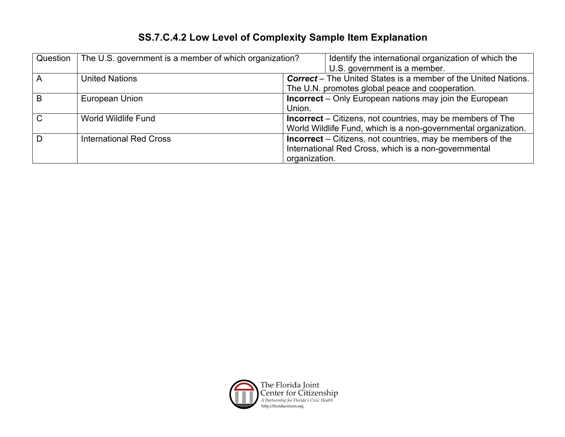## **SS.7.C.4.2 Low Level of Complexity Sample Item Explanation**

| Question      | The U.S. government is a member of which organization? | Identify the international organization of which the                  |
|---------------|--------------------------------------------------------|-----------------------------------------------------------------------|
|               |                                                        | U.S. government is a member.                                          |
| Α             | <b>United Nations</b>                                  | <b>Correct</b> – The United States is a member of the United Nations. |
|               |                                                        | The U.N. promotes global peace and cooperation.                       |
| B             | European Union                                         | <b>Incorrect</b> – Only European nations may join the European        |
|               |                                                        | Union.                                                                |
| $\mathcal{C}$ | World Wildlife Fund                                    | <b>Incorrect</b> – Citizens, not countries, may be members of The     |
|               |                                                        | World Wildlife Fund, which is a non-governmental organization.        |
| D             | <b>International Red Cross</b>                         | <b>Incorrect</b> – Citizens, not countries, may be members of the     |
|               |                                                        | International Red Cross, which is a non-governmental                  |
|               |                                                        | organization.                                                         |

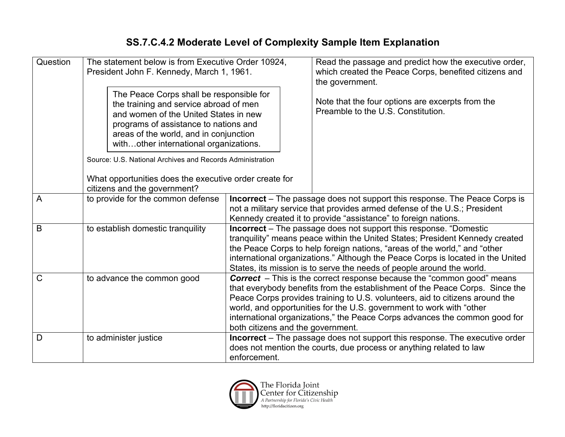## **SS.7.C.4.2 Moderate Level of Complexity Sample Item Explanation**

| Question<br>The statement below is from Executive Order 10924,<br>President John F. Kennedy, March 1, 1961. |                                                                                                                                                                                                                                                                                                                                                                                                                                        |                                                                                                                                                                                                                                                                                                                                                                                                                                          | Read the passage and predict how the executive order,<br>which created the Peace Corps, benefited citizens and<br>the government. |
|-------------------------------------------------------------------------------------------------------------|----------------------------------------------------------------------------------------------------------------------------------------------------------------------------------------------------------------------------------------------------------------------------------------------------------------------------------------------------------------------------------------------------------------------------------------|------------------------------------------------------------------------------------------------------------------------------------------------------------------------------------------------------------------------------------------------------------------------------------------------------------------------------------------------------------------------------------------------------------------------------------------|-----------------------------------------------------------------------------------------------------------------------------------|
|                                                                                                             | The Peace Corps shall be responsible for<br>the training and service abroad of men<br>and women of the United States in new<br>programs of assistance to nations and<br>areas of the world, and in conjunction<br>withother international organizations.                                                                                                                                                                               |                                                                                                                                                                                                                                                                                                                                                                                                                                          | Note that the four options are excerpts from the<br>Preamble to the U.S. Constitution.                                            |
|                                                                                                             | Source: U.S. National Archives and Records Administration                                                                                                                                                                                                                                                                                                                                                                              |                                                                                                                                                                                                                                                                                                                                                                                                                                          |                                                                                                                                   |
|                                                                                                             | What opportunities does the executive order create for<br>citizens and the government?                                                                                                                                                                                                                                                                                                                                                 |                                                                                                                                                                                                                                                                                                                                                                                                                                          |                                                                                                                                   |
| $\overline{A}$                                                                                              | to provide for the common defense                                                                                                                                                                                                                                                                                                                                                                                                      | <b>Incorrect</b> – The passage does not support this response. The Peace Corps is<br>not a military service that provides armed defense of the U.S.; President<br>Kennedy created it to provide "assistance" to foreign nations.                                                                                                                                                                                                         |                                                                                                                                   |
| B                                                                                                           | to establish domestic tranquility<br><b>Incorrect</b> – The passage does not support this response. "Domestic<br>tranquility" means peace within the United States; President Kennedy created<br>the Peace Corps to help foreign nations, "areas of the world," and "other<br>international organizations." Although the Peace Corps is located in the United<br>States, its mission is to serve the needs of people around the world. |                                                                                                                                                                                                                                                                                                                                                                                                                                          |                                                                                                                                   |
| $\mathsf{C}$                                                                                                | to advance the common good                                                                                                                                                                                                                                                                                                                                                                                                             | <b>Correct</b> – This is the correct response because the "common good" means<br>that everybody benefits from the establishment of the Peace Corps. Since the<br>Peace Corps provides training to U.S. volunteers, aid to citizens around the<br>world, and opportunities for the U.S. government to work with "other<br>international organizations," the Peace Corps advances the common good for<br>both citizens and the government. |                                                                                                                                   |
| D                                                                                                           | to administer justice                                                                                                                                                                                                                                                                                                                                                                                                                  | Incorrect - The passage does not support this response. The executive order<br>does not mention the courts, due process or anything related to law<br>enforcement.                                                                                                                                                                                                                                                                       |                                                                                                                                   |